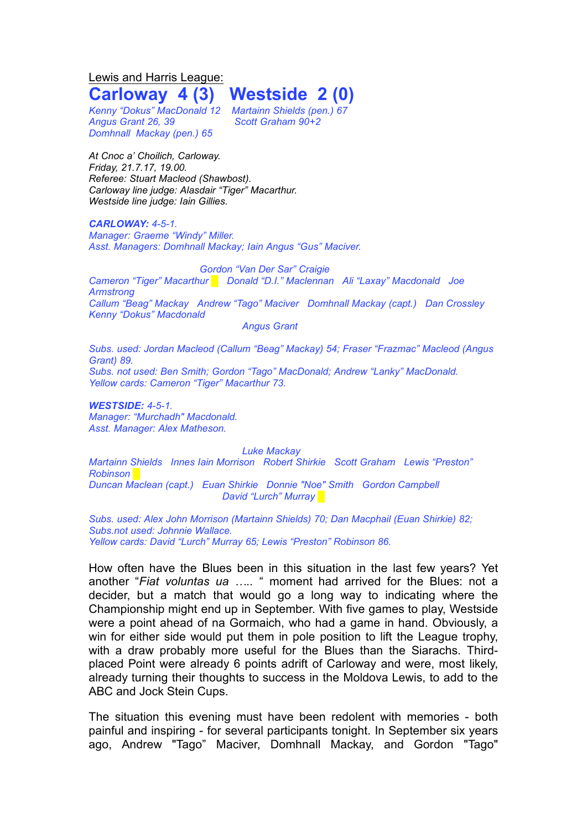Lewis and Harris League:

## **Carloway 4 (3) Westside 2 (0)**

*Kenny "Dokus" MacDonald 12 Martainn Shields (pen.) 67 Angus Grant 26, 39 Scott Graham 90+2 Domhnall Mackay (pen.) 65*

*At Cnoc a' Choilich, Carloway. Friday, 21.7.17, 19.00. Referee: Stuart Macleod (Shawbost). Carloway line judge: Alasdair "Tiger" Macarthur. Westside line judge: Iain Gillies.*

*CARLOWAY: 4-5-1. Manager: Graeme "Windy" Miller. Asst. Managers: Domhnall Mackay; Iain Angus "Gus" Maciver.*

*Gordon "Van Der Sar" Craigie Cameron "Tiger" Macarthur █ Donald "D.I." Maclennan Ali "Laxay" Macdonald Joe Armstrong Callum "Beag" Mackay Andrew "Tago" Maciver Domhnall Mackay (capt.) Dan Crossley Kenny "Dokus" Macdonald Angus Grant*

*Subs. used: Jordan Macleod (Callum "Beag" Mackay) 54; Fraser "Frazmac" Macleod (Angus Grant) 89. Subs. not used: Ben Smith; Gordon "Tago" MacDonald; Andrew "Lanky" MacDonald. Yellow cards: Cameron "Tiger" Macarthur 73.*

*WESTSIDE: 4-5-1. Manager: "Murchadh" Macdonald. Asst. Manager: Alex Matheson.*

*Luke Mackay Martainn Shields Innes Iain Morrison Robert Shirkie Scott Graham Lewis "Preston" Robinson █ Duncan Maclean (capt.) Euan Shirkie Donnie "Noe" Smith Gordon Campbell David "Lurch" Murray █*

*Subs. used: Alex John Morrison (Martainn Shields) 70; Dan Macphail (Euan Shirkie) 82; Subs.not used: Johnnie Wallace. Yellow cards: David "Lurch" Murray 65; Lewis "Preston" Robinson 86.*

How often have the Blues been in this situation in the last few years? Yet another "*Fiat voluntas ua …..* " moment had arrived for the Blues: not a decider, but a match that would go a long way to indicating where the Championship might end up in September. With five games to play, Westside were a point ahead of na Gormaich, who had a game in hand. Obviously, a win for either side would put them in pole position to lift the League trophy, with a draw probably more useful for the Blues than the Siarachs. Thirdplaced Point were already 6 points adrift of Carloway and were, most likely, already turning their thoughts to success in the Moldova Lewis, to add to the ABC and Jock Stein Cups.

The situation this evening must have been redolent with memories - both painful and inspiring - for several participants tonight. In September six years ago, Andrew "Tago" Maciver, Domhnall Mackay, and Gordon "Tago"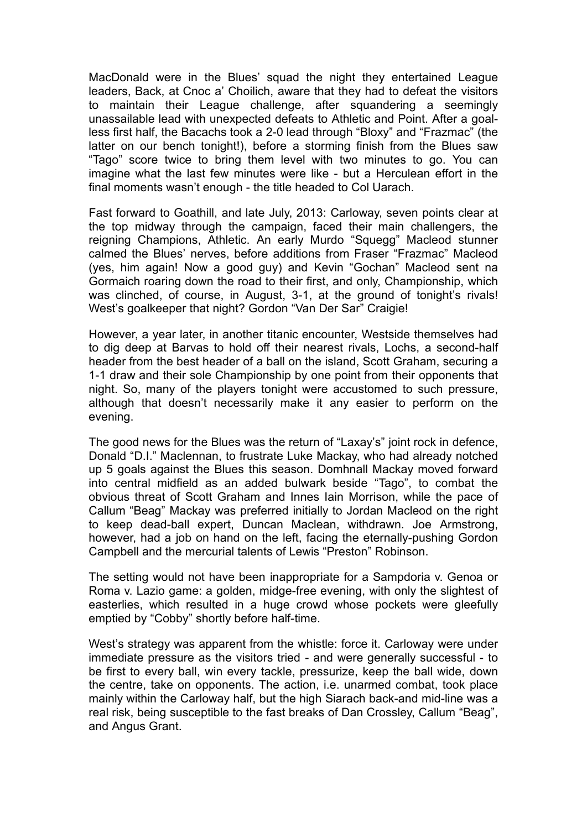MacDonald were in the Blues' squad the night they entertained League leaders, Back, at Cnoc a' Choilich, aware that they had to defeat the visitors to maintain their League challenge, after squandering a seemingly unassailable lead with unexpected defeats to Athletic and Point. After a goalless first half, the Bacachs took a 2-0 lead through "Bloxy" and "Frazmac" (the latter on our bench tonight!), before a storming finish from the Blues saw "Tago" score twice to bring them level with two minutes to go. You can imagine what the last few minutes were like - but a Herculean effort in the final moments wasn't enough - the title headed to Col Uarach.

Fast forward to Goathill, and late July, 2013: Carloway, seven points clear at the top midway through the campaign, faced their main challengers, the reigning Champions, Athletic. An early Murdo "Squegg" Macleod stunner calmed the Blues' nerves, before additions from Fraser "Frazmac" Macleod (yes, him again! Now a good guy) and Kevin "Gochan" Macleod sent na Gormaich roaring down the road to their first, and only, Championship, which was clinched, of course, in August, 3-1, at the ground of tonight's rivals! West's goalkeeper that night? Gordon "Van Der Sar" Craigie!

However, a year later, in another titanic encounter, Westside themselves had to dig deep at Barvas to hold off their nearest rivals, Lochs, a second-half header from the best header of a ball on the island, Scott Graham, securing a 1-1 draw and their sole Championship by one point from their opponents that night. So, many of the players tonight were accustomed to such pressure, although that doesn't necessarily make it any easier to perform on the evening.

The good news for the Blues was the return of "Laxay's" joint rock in defence, Donald "D.I." Maclennan, to frustrate Luke Mackay, who had already notched up 5 goals against the Blues this season. Domhnall Mackay moved forward into central midfield as an added bulwark beside "Tago", to combat the obvious threat of Scott Graham and Innes Iain Morrison, while the pace of Callum "Beag" Mackay was preferred initially to Jordan Macleod on the right to keep dead-ball expert, Duncan Maclean, withdrawn. Joe Armstrong, however, had a job on hand on the left, facing the eternally-pushing Gordon Campbell and the mercurial talents of Lewis "Preston" Robinson.

The setting would not have been inappropriate for a Sampdoria v. Genoa or Roma v. Lazio game: a golden, midge-free evening, with only the slightest of easterlies, which resulted in a huge crowd whose pockets were gleefully emptied by "Cobby" shortly before half-time.

West's strategy was apparent from the whistle: force it. Carloway were under immediate pressure as the visitors tried - and were generally successful - to be first to every ball, win every tackle, pressurize, keep the ball wide, down the centre, take on opponents. The action, i.e. unarmed combat, took place mainly within the Carloway half, but the high Siarach back-and mid-line was a real risk, being susceptible to the fast breaks of Dan Crossley, Callum "Beag", and Angus Grant.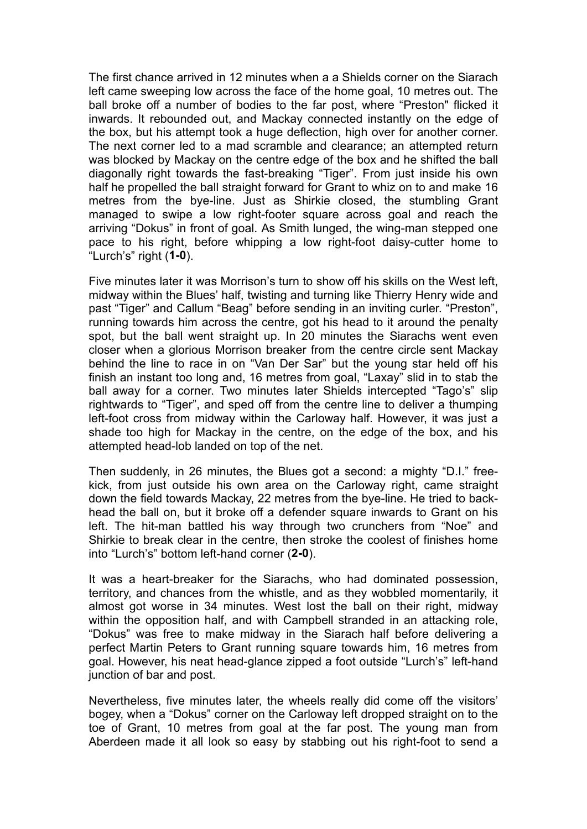The first chance arrived in 12 minutes when a a Shields corner on the Siarach left came sweeping low across the face of the home goal, 10 metres out. The ball broke off a number of bodies to the far post, where "Preston" flicked it inwards. It rebounded out, and Mackay connected instantly on the edge of the box, but his attempt took a huge deflection, high over for another corner. The next corner led to a mad scramble and clearance; an attempted return was blocked by Mackay on the centre edge of the box and he shifted the ball diagonally right towards the fast-breaking "Tiger". From just inside his own half he propelled the ball straight forward for Grant to whiz on to and make 16 metres from the bye-line. Just as Shirkie closed, the stumbling Grant managed to swipe a low right-footer square across goal and reach the arriving "Dokus" in front of goal. As Smith lunged, the wing-man stepped one pace to his right, before whipping a low right-foot daisy-cutter home to "Lurch's" right (**1-0**).

Five minutes later it was Morrison's turn to show off his skills on the West left, midway within the Blues' half, twisting and turning like Thierry Henry wide and past "Tiger" and Callum "Beag" before sending in an inviting curler. "Preston", running towards him across the centre, got his head to it around the penalty spot, but the ball went straight up. In 20 minutes the Siarachs went even closer when a glorious Morrison breaker from the centre circle sent Mackay behind the line to race in on "Van Der Sar" but the young star held off his finish an instant too long and, 16 metres from goal, "Laxay" slid in to stab the ball away for a corner. Two minutes later Shields intercepted "Tago's" slip rightwards to "Tiger", and sped off from the centre line to deliver a thumping left-foot cross from midway within the Carloway half. However, it was just a shade too high for Mackay in the centre, on the edge of the box, and his attempted head-lob landed on top of the net.

Then suddenly, in 26 minutes, the Blues got a second: a mighty "D.I." freekick, from just outside his own area on the Carloway right, came straight down the field towards Mackay, 22 metres from the bye-line. He tried to backhead the ball on, but it broke off a defender square inwards to Grant on his left. The hit-man battled his way through two crunchers from "Noe" and Shirkie to break clear in the centre, then stroke the coolest of finishes home into "Lurch's" bottom left-hand corner (**2-0**).

It was a heart-breaker for the Siarachs, who had dominated possession, territory, and chances from the whistle, and as they wobbled momentarily, it almost got worse in 34 minutes. West lost the ball on their right, midway within the opposition half, and with Campbell stranded in an attacking role, "Dokus" was free to make midway in the Siarach half before delivering a perfect Martin Peters to Grant running square towards him, 16 metres from goal. However, his neat head-glance zipped a foot outside "Lurch's" left-hand junction of bar and post.

Nevertheless, five minutes later, the wheels really did come off the visitors' bogey, when a "Dokus" corner on the Carloway left dropped straight on to the toe of Grant, 10 metres from goal at the far post. The young man from Aberdeen made it all look so easy by stabbing out his right-foot to send a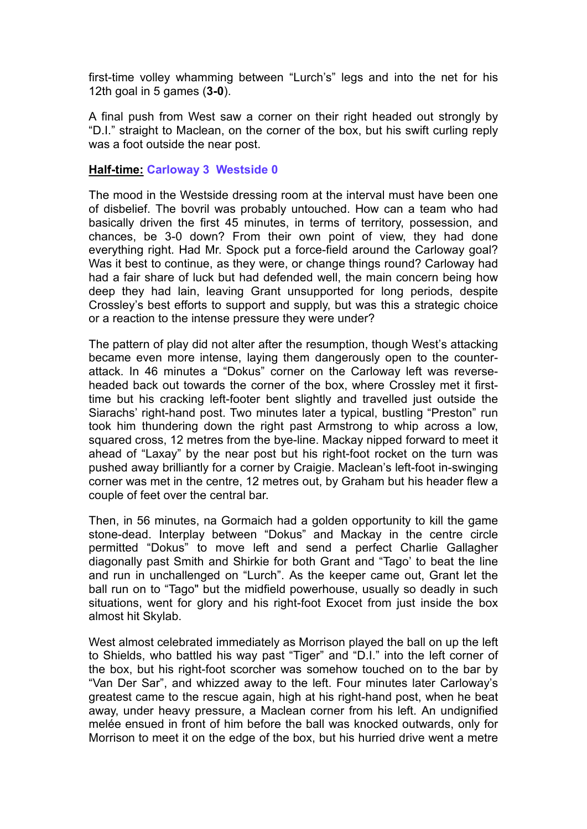first-time volley whamming between "Lurch's" legs and into the net for his 12th goal in 5 games (**3-0**).

A final push from West saw a corner on their right headed out strongly by "D.I." straight to Maclean, on the corner of the box, but his swift curling reply was a foot outside the near post.

## **Half-time: Carloway 3 Westside 0**

The mood in the Westside dressing room at the interval must have been one of disbelief. The bovril was probably untouched. How can a team who had basically driven the first 45 minutes, in terms of territory, possession, and chances, be 3-0 down? From their own point of view, they had done everything right. Had Mr. Spock put a force-field around the Carloway goal? Was it best to continue, as they were, or change things round? Carloway had had a fair share of luck but had defended well, the main concern being how deep they had lain, leaving Grant unsupported for long periods, despite Crossley's best efforts to support and supply, but was this a strategic choice or a reaction to the intense pressure they were under?

The pattern of play did not alter after the resumption, though West's attacking became even more intense, laying them dangerously open to the counterattack. In 46 minutes a "Dokus" corner on the Carloway left was reverseheaded back out towards the corner of the box, where Crossley met it firsttime but his cracking left-footer bent slightly and travelled just outside the Siarachs' right-hand post. Two minutes later a typical, bustling "Preston" run took him thundering down the right past Armstrong to whip across a low, squared cross, 12 metres from the bye-line. Mackay nipped forward to meet it ahead of "Laxay" by the near post but his right-foot rocket on the turn was pushed away brilliantly for a corner by Craigie. Maclean's left-foot in-swinging corner was met in the centre, 12 metres out, by Graham but his header flew a couple of feet over the central bar.

Then, in 56 minutes, na Gormaich had a golden opportunity to kill the game stone-dead. Interplay between "Dokus" and Mackay in the centre circle permitted "Dokus" to move left and send a perfect Charlie Gallagher diagonally past Smith and Shirkie for both Grant and "Tago' to beat the line and run in unchallenged on "Lurch". As the keeper came out, Grant let the ball run on to "Tago" but the midfield powerhouse, usually so deadly in such situations, went for glory and his right-foot Exocet from just inside the box almost hit Skylab.

West almost celebrated immediately as Morrison played the ball on up the left to Shields, who battled his way past "Tiger" and "D.I." into the left corner of the box, but his right-foot scorcher was somehow touched on to the bar by "Van Der Sar", and whizzed away to the left. Four minutes later Carloway's greatest came to the rescue again, high at his right-hand post, when he beat away, under heavy pressure, a Maclean corner from his left. An undignified melée ensued in front of him before the ball was knocked outwards, only for Morrison to meet it on the edge of the box, but his hurried drive went a metre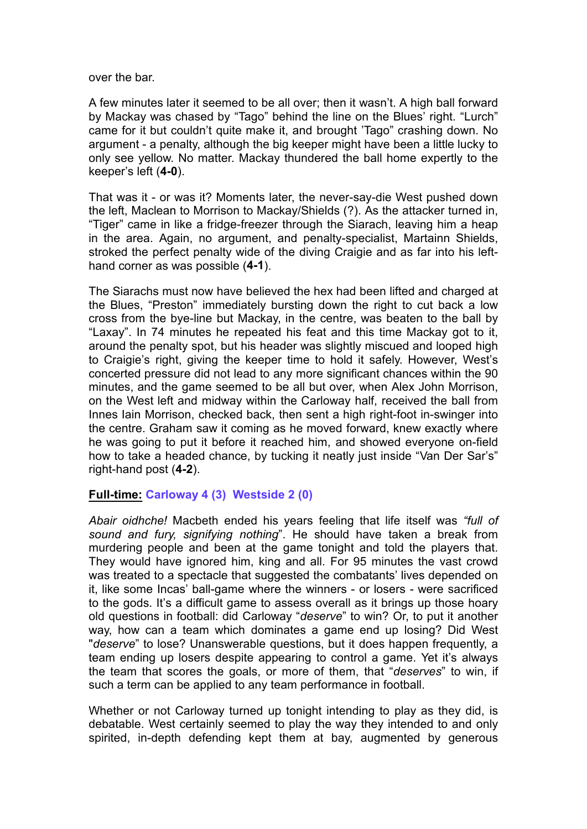over the bar.

A few minutes later it seemed to be all over; then it wasn't. A high ball forward by Mackay was chased by "Tago" behind the line on the Blues' right. "Lurch" came for it but couldn't quite make it, and brought 'Tago" crashing down. No argument - a penalty, although the big keeper might have been a little lucky to only see yellow. No matter. Mackay thundered the ball home expertly to the keeper's left (**4-0**).

That was it - or was it? Moments later, the never-say-die West pushed down the left, Maclean to Morrison to Mackay/Shields (?). As the attacker turned in, "Tiger" came in like a fridge-freezer through the Siarach, leaving him a heap in the area. Again, no argument, and penalty-specialist, Martainn Shields, stroked the perfect penalty wide of the diving Craigie and as far into his lefthand corner as was possible (**4-1**).

The Siarachs must now have believed the hex had been lifted and charged at the Blues, "Preston" immediately bursting down the right to cut back a low cross from the bye-line but Mackay, in the centre, was beaten to the ball by "Laxay". In 74 minutes he repeated his feat and this time Mackay got to it, around the penalty spot, but his header was slightly miscued and looped high to Craigie's right, giving the keeper time to hold it safely. However, West's concerted pressure did not lead to any more significant chances within the 90 minutes, and the game seemed to be all but over, when Alex John Morrison, on the West left and midway within the Carloway half, received the ball from Innes Iain Morrison, checked back, then sent a high right-foot in-swinger into the centre. Graham saw it coming as he moved forward, knew exactly where he was going to put it before it reached him, and showed everyone on-field how to take a headed chance, by tucking it neatly just inside "Van Der Sar's" right-hand post (**4-2**).

## **Full-time: Carloway 4 (3) Westside 2 (0)**

*Abair oidhche!* Macbeth ended his years feeling that life itself was *"full of sound and fury, signifying nothing*". He should have taken a break from murdering people and been at the game tonight and told the players that. They would have ignored him, king and all. For 95 minutes the vast crowd was treated to a spectacle that suggested the combatants' lives depended on it, like some Incas' ball-game where the winners - or losers - were sacrificed to the gods. It's a difficult game to assess overall as it brings up those hoary old questions in football: did Carloway "*deserve*" to win? Or, to put it another way, how can a team which dominates a game end up losing? Did West "*deserve*" to lose? Unanswerable questions, but it does happen frequently, a team ending up losers despite appearing to control a game. Yet it's always the team that scores the goals, or more of them, that "*deserves*" to win, if such a term can be applied to any team performance in football.

Whether or not Carloway turned up tonight intending to play as they did, is debatable. West certainly seemed to play the way they intended to and only spirited, in-depth defending kept them at bay, augmented by generous